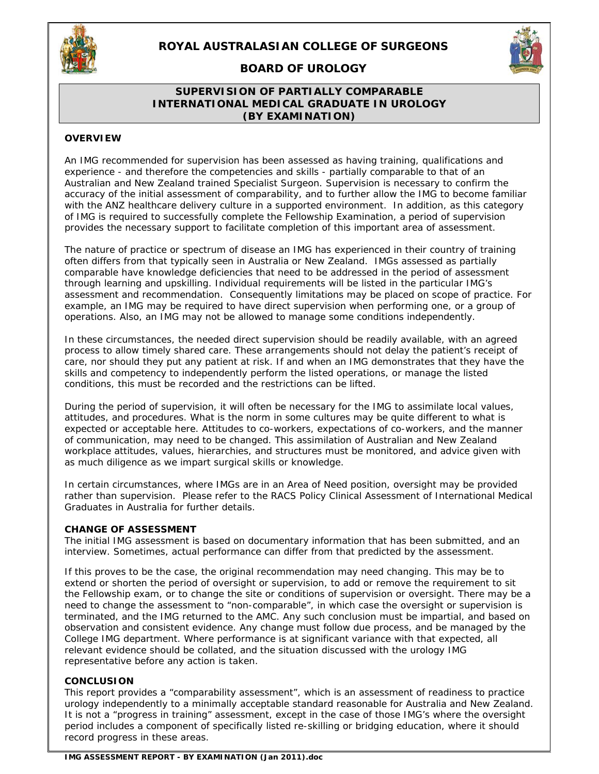

# **ROYAL AUSTRALASIAN COLLEGE OF SURGEONS**

**BOARD OF UROLOGY** 

### **SUPERVISION OF PARTIALLY COMPARABLE INTERNATIONAL MEDICAL GRADUATE IN UROLOGY (BY EXAMINATION)**

### **OVERVIEW**

An IMG recommended for supervision has been assessed as having training, qualifications and experience - and therefore the competencies and skills - partially comparable to that of an Australian and New Zealand trained Specialist Surgeon. Supervision is necessary to confirm the accuracy of the initial assessment of comparability, and to further allow the IMG to become familiar with the ANZ healthcare delivery culture in a supported environment. In addition, as this category of IMG is required to successfully complete the Fellowship Examination, a period of supervision provides the necessary support to facilitate completion of this important area of assessment.

The nature of practice or spectrum of disease an IMG has experienced in their country of training often differs from that typically seen in Australia or New Zealand. IMGs assessed as partially comparable have knowledge deficiencies that need to be addressed in the period of assessment through learning and upskilling. Individual requirements will be listed in the particular IMG's assessment and recommendation. Consequently limitations may be placed on scope of practice. For example, an IMG may be required to have direct supervision when performing one, or a group of operations. Also, an IMG may not be allowed to manage some conditions independently.

In these circumstances, the needed direct supervision should be readily available, with an agreed process to allow timely shared care. These arrangements should not delay the patient's receipt of care, nor should they put any patient at risk. If and when an IMG demonstrates that they have the skills and competency to independently perform the listed operations, or manage the listed conditions, this must be recorded and the restrictions can be lifted.

During the period of supervision, it will often be necessary for the IMG to assimilate local values, attitudes, and procedures. What is the norm in some cultures may be quite different to what is expected or acceptable here. Attitudes to co-workers, expectations of co-workers, and the manner of communication, may need to be changed. This assimilation of Australian and New Zealand workplace attitudes, values, hierarchies, and structures must be monitored, and advice given with as much diligence as we impart surgical skills or knowledge.

In certain circumstances, where IMGs are in an Area of Need position, oversight may be provided rather than supervision. Please refer to the RACS Policy Clinical Assessment of International Medical Graduates in Australia for further details.

### **CHANGE OF ASSESSMENT**

The initial IMG assessment is based on documentary information that has been submitted, and an interview. Sometimes, actual performance can differ from that predicted by the assessment.

If this proves to be the case, the original recommendation may need changing. This may be to extend or shorten the period of oversight or supervision, to add or remove the requirement to sit the Fellowship exam, or to change the site or conditions of supervision or oversight. There may be a need to change the assessment to "non-comparable", in which case the oversight or supervision is terminated, and the IMG returned to the AMC. Any such conclusion must be impartial, and based on observation and consistent evidence. Any change must follow due process, and be managed by the College IMG department. Where performance is at significant variance with that expected, all relevant evidence should be collated, and the situation discussed with the urology IMG representative before any action is taken.

#### **CONCLUSION**

This report provides a "comparability assessment", which is an assessment of readiness to practice urology independently to a minimally acceptable standard reasonable for Australia and New Zealand. It is not a "progress in training" assessment, except in the case of those IMG's where the oversight period includes a component of specifically listed re-skilling or bridging education, where it should record progress in these areas.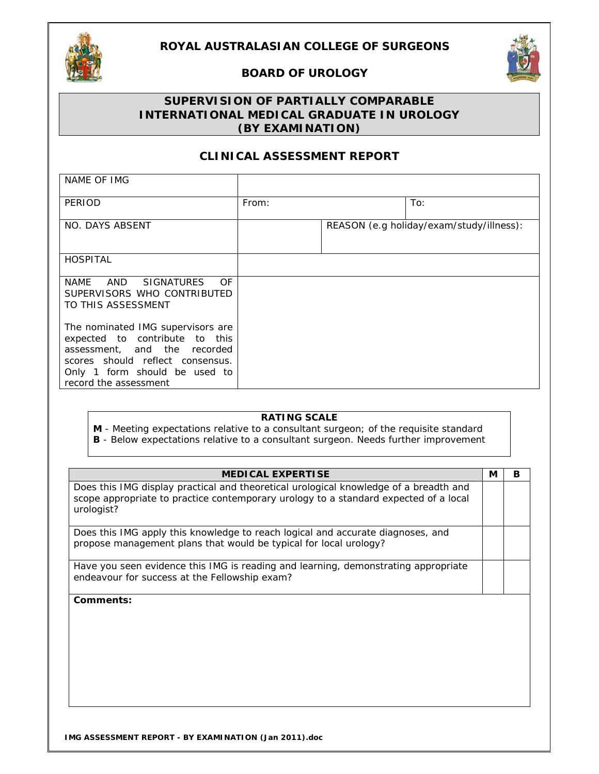

# **BOARD OF UROLOGY**



# **SUPERVISION OF PARTIALLY COMPARABLE INTERNATIONAL MEDICAL GRADUATE IN UROLOGY**

# **(BY EXAMINATION)**

# **CLINICAL ASSESSMENT REPORT**

| NAME OF IMG                                                                                                                                                                                       |       |                                          |
|---------------------------------------------------------------------------------------------------------------------------------------------------------------------------------------------------|-------|------------------------------------------|
| PERIOD                                                                                                                                                                                            | From: | To:                                      |
| NO. DAYS ABSENT                                                                                                                                                                                   |       | REASON (e.g holiday/exam/study/illness): |
| <b>HOSPITAL</b>                                                                                                                                                                                   |       |                                          |
| NAME AND SIGNATURES<br>OF.<br>SUPERVISORS WHO CONTRIBUTED<br>TO THIS ASSESSMENT                                                                                                                   |       |                                          |
| The nominated IMG supervisors are<br>expected to contribute to this<br>assessment, and the recorded<br>scores should reflect consensus.<br>Only 1 form should be used to<br>record the assessment |       |                                          |

### **RATING SCALE**

**M** - Meeting expectations relative to a consultant surgeon; of the requisite standard **B** - Below expectations relative to a consultant surgeon. Needs further improvement

| <b>MEDICAL EXPERTISE</b>                                                                                                                                                                    | М | в |
|---------------------------------------------------------------------------------------------------------------------------------------------------------------------------------------------|---|---|
| Does this IMG display practical and theoretical urological knowledge of a breadth and<br>scope appropriate to practice contemporary urology to a standard expected of a local<br>urologist? |   |   |
| Does this IMG apply this knowledge to reach logical and accurate diagnoses, and<br>propose management plans that would be typical for local urology?                                        |   |   |
| Have you seen evidence this IMG is reading and learning, demonstrating appropriate<br>endeavour for success at the Fellowship exam?                                                         |   |   |
| Comments:                                                                                                                                                                                   |   |   |
|                                                                                                                                                                                             |   |   |
|                                                                                                                                                                                             |   |   |
|                                                                                                                                                                                             |   |   |
|                                                                                                                                                                                             |   |   |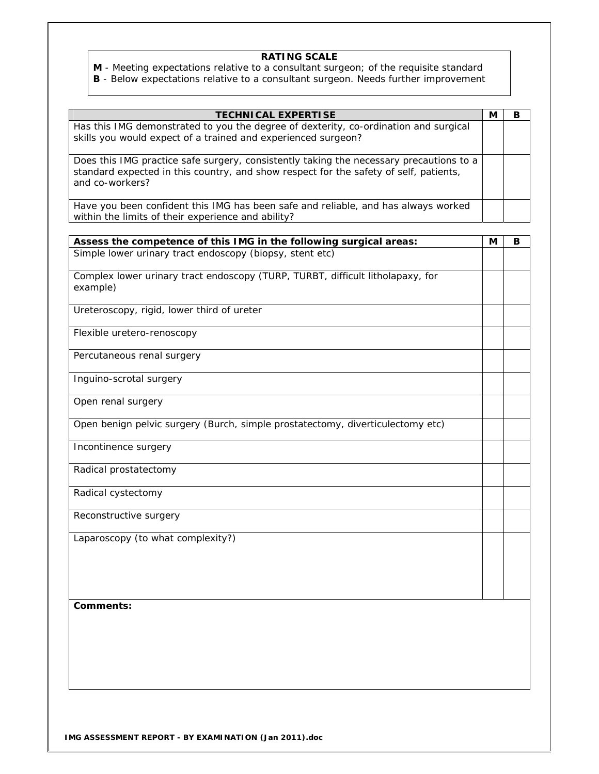## **RATING SCALE**

**M** - Meeting expectations relative to a consultant surgeon; of the requisite standard **B** - Below expectations relative to a consultant surgeon. Needs further improvement

| <b>TECHNICAL EXPERTISE</b>                                                              | M | В |
|-----------------------------------------------------------------------------------------|---|---|
| Has this IMG demonstrated to you the degree of dexterity, co-ordination and surgical    |   |   |
| skills you would expect of a trained and experienced surgeon?                           |   |   |
| Does this IMG practice safe surgery, consistently taking the necessary precautions to a |   |   |
| standard expected in this country, and show respect for the safety of self, patients,   |   |   |
| and co-workers?                                                                         |   |   |
|                                                                                         |   |   |
| Have you been confident this IMG has been safe and reliable, and has always worked      |   |   |
| within the limits of their experience and ability?                                      |   |   |
| Assess the competence of this IMG in the following surgical areas:                      | М | В |
| Simple lower urinary tract endoscopy (biopsy, stent etc)                                |   |   |
|                                                                                         |   |   |
| Complex lower urinary tract endoscopy (TURP, TURBT, difficult litholapaxy, for          |   |   |
| example)                                                                                |   |   |
|                                                                                         |   |   |
| Ureteroscopy, rigid, lower third of ureter                                              |   |   |
|                                                                                         |   |   |
| Flexible uretero-renoscopy                                                              |   |   |
|                                                                                         |   |   |
| Percutaneous renal surgery                                                              |   |   |
|                                                                                         |   |   |
| Inguino-scrotal surgery                                                                 |   |   |
| Open renal surgery                                                                      |   |   |
|                                                                                         |   |   |
| Open benign pelvic surgery (Burch, simple prostatectomy, diverticulectomy etc)          |   |   |
|                                                                                         |   |   |
| Incontinence surgery                                                                    |   |   |
|                                                                                         |   |   |
| Radical prostatectomy                                                                   |   |   |
|                                                                                         |   |   |
| Radical cystectomy                                                                      |   |   |
| Reconstructive surgery                                                                  |   |   |
|                                                                                         |   |   |
| Laparoscopy (to what complexity?)                                                       |   |   |
|                                                                                         |   |   |
|                                                                                         |   |   |
|                                                                                         |   |   |
|                                                                                         |   |   |
|                                                                                         |   |   |
| Comments:                                                                               |   |   |
|                                                                                         |   |   |
|                                                                                         |   |   |
|                                                                                         |   |   |
|                                                                                         |   |   |
|                                                                                         |   |   |
|                                                                                         |   |   |

**IMG ASSESSMENT REPORT - BY EXAMINATION (Jan 2011).doc**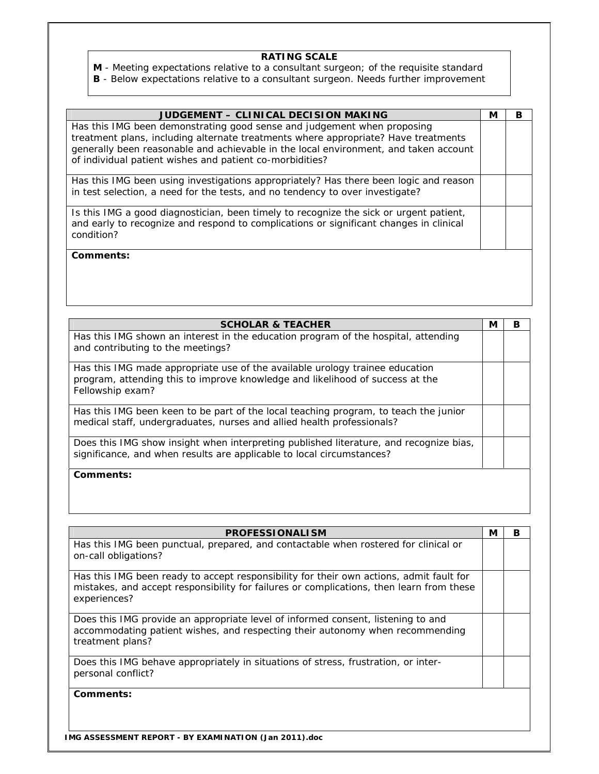## **RATING SCALE**

**M** - Meeting expectations relative to a consultant surgeon; of the requisite standard

**B** - Below expectations relative to a consultant surgeon. Needs further improvement

| JUDGEMENT - CLINICAL DECISION MAKING                                                                                                                                                                                                                                                                              | М | в |
|-------------------------------------------------------------------------------------------------------------------------------------------------------------------------------------------------------------------------------------------------------------------------------------------------------------------|---|---|
| Has this IMG been demonstrating good sense and judgement when proposing<br>treatment plans, including alternate treatments where appropriate? Have treatments<br>generally been reasonable and achievable in the local environment, and taken account<br>of individual patient wishes and patient co-morbidities? |   |   |
|                                                                                                                                                                                                                                                                                                                   |   |   |
| Has this IMG been using investigations appropriately? Has there been logic and reason<br>in test selection, a need for the tests, and no tendency to over investigate?                                                                                                                                            |   |   |
| Is this IMG a good diagnostician, been timely to recognize the sick or urgent patient,<br>and early to recognize and respond to complications or significant changes in clinical<br>condition?                                                                                                                    |   |   |
| Comments:                                                                                                                                                                                                                                                                                                         |   |   |

| <b>SCHOLAR &amp; TEACHER</b>                                                                                                                                                      | М | В |
|-----------------------------------------------------------------------------------------------------------------------------------------------------------------------------------|---|---|
| Has this IMG shown an interest in the education program of the hospital, attending<br>and contributing to the meetings?                                                           |   |   |
| Has this IMG made appropriate use of the available urology trainee education<br>program, attending this to improve knowledge and likelihood of success at the<br>Fellowship exam? |   |   |
| Has this IMG been keen to be part of the local teaching program, to teach the junior<br>medical staff, undergraduates, nurses and allied health professionals?                    |   |   |
| Does this IMG show insight when interpreting published literature, and recognize bias,<br>significance, and when results are applicable to local circumstances?                   |   |   |
| Comments:                                                                                                                                                                         |   |   |

| <b>PROFESSIONALISM</b>                                                                                                                                                                              | М | в |
|-----------------------------------------------------------------------------------------------------------------------------------------------------------------------------------------------------|---|---|
| Has this IMG been punctual, prepared, and contactable when rostered for clinical or<br>on-call obligations?                                                                                         |   |   |
| Has this IMG been ready to accept responsibility for their own actions, admit fault for<br>mistakes, and accept responsibility for failures or complications, then learn from these<br>experiences? |   |   |
| Does this IMG provide an appropriate level of informed consent, listening to and<br>accommodating patient wishes, and respecting their autonomy when recommending<br>treatment plans?               |   |   |
| Does this IMG behave appropriately in situations of stress, frustration, or inter-<br>personal conflict?                                                                                            |   |   |
| Comments:                                                                                                                                                                                           |   |   |

**IMG ASSESSMENT REPORT - BY EXAMINATION (Jan 2011).doc**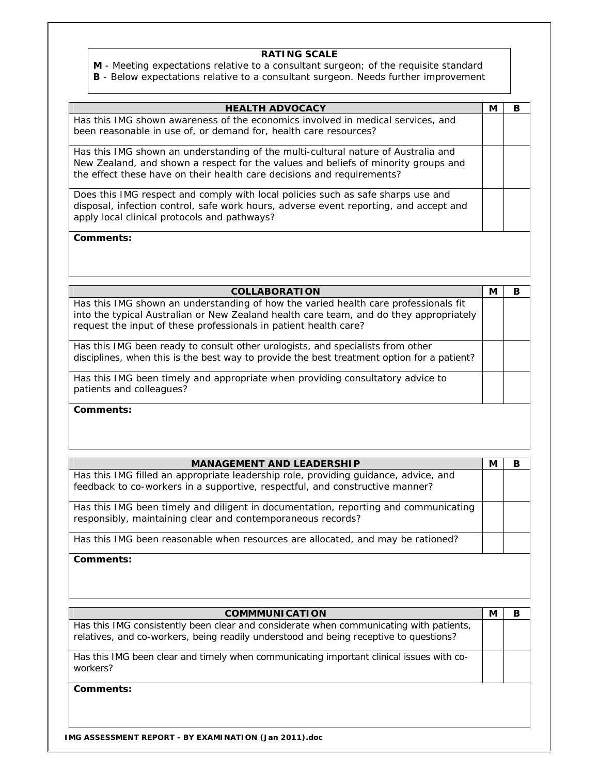# **RATING SCALE**

**M** - Meeting expectations relative to a consultant surgeon; of the requisite standard

**B** - Below expectations relative to a consultant surgeon. Needs further improvement

| <b>HEALTH ADVOCACY</b>                                                                | М | В |
|---------------------------------------------------------------------------------------|---|---|
| Has this IMG shown awareness of the economics involved in medical services, and       |   |   |
| been reasonable in use of, or demand for, health care resources?                      |   |   |
| Has this IMG shown an understanding of the multi-cultural nature of Australia and     |   |   |
| New Zealand, and shown a respect for the values and beliefs of minority groups and    |   |   |
| the effect these have on their health care decisions and requirements?                |   |   |
| Does this IMG respect and comply with local policies such as safe sharps use and      |   |   |
| disposal, infection control, safe work hours, adverse event reporting, and accept and |   |   |
| apply local clinical protocols and pathways?                                          |   |   |
| Comments:                                                                             |   |   |
|                                                                                       |   |   |

| <b>COLLABORATION</b>                                                                                                                                                                                                                              | N | в |
|---------------------------------------------------------------------------------------------------------------------------------------------------------------------------------------------------------------------------------------------------|---|---|
| Has this IMG shown an understanding of how the varied health care professionals fit<br>into the typical Australian or New Zealand health care team, and do they appropriately<br>request the input of these professionals in patient health care? |   |   |
|                                                                                                                                                                                                                                                   |   |   |
| Has this IMG been ready to consult other urologists, and specialists from other<br>disciplines, when this is the best way to provide the best treatment option for a patient?                                                                     |   |   |
| Has this IMG been timely and appropriate when providing consultatory advice to<br>patients and colleagues?                                                                                                                                        |   |   |
| Comments:                                                                                                                                                                                                                                         |   |   |

| <b>MANAGEMENT AND LEADERSHIP</b>                                                                                                                                    | М | в |
|---------------------------------------------------------------------------------------------------------------------------------------------------------------------|---|---|
| Has this IMG filled an appropriate leadership role, providing guidance, advice, and<br>feedback to co-workers in a supportive, respectful, and constructive manner? |   |   |
| Has this IMG been timely and diligent in documentation, reporting and communicating<br>responsibly, maintaining clear and contemporaneous records?                  |   |   |
| Has this IMG been reasonable when resources are allocated, and may be rationed?                                                                                     |   |   |
| Comments:                                                                                                                                                           |   |   |

| <b>COMMMUNICATION</b>                                                                                                                                                           | M | в |
|---------------------------------------------------------------------------------------------------------------------------------------------------------------------------------|---|---|
| Has this IMG consistently been clear and considerate when communicating with patients,<br>relatives, and co-workers, being readily understood and being receptive to questions? |   |   |
| Has this IMG been clear and timely when communicating important clinical issues with co-<br>workers?                                                                            |   |   |
| Comments:                                                                                                                                                                       |   |   |

**IMG ASSESSMENT REPORT - BY EXAMINATION (Jan 2011).doc**